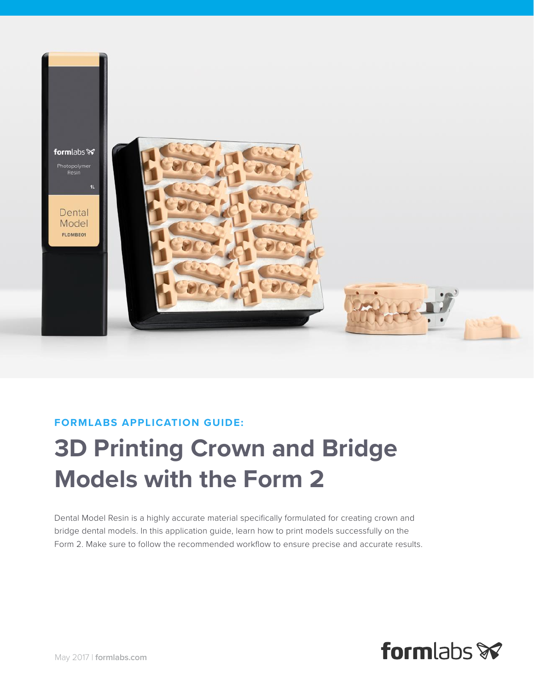

### **FORMLABS APPLICATION GUIDE:**

# **3D Printing Crown and Bridge Models with the Form 2**

Dental Model Resin is a highly accurate material specifically formulated for creating crown and bridge dental models. In this application guide, learn how to print models successfully on the Form 2. Make sure to follow the recommended workflow to ensure precise and accurate results.

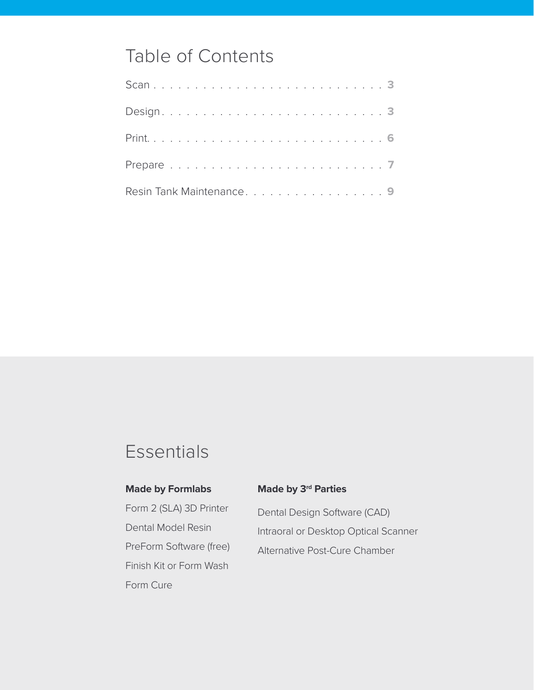# Table of Contents

| Resin Tank Maintenance. 9 |  |  |  |  |  |  |  |  |  |  |  |  |  |  |
|---------------------------|--|--|--|--|--|--|--|--|--|--|--|--|--|--|

# **Essentials**

#### **Made by Formlabs**

Form 2 (SLA) 3D Printer Dental Model Resin PreForm Software (free) Finish Kit or Form Wash Form Cure

#### **Made by 3rd Parties**

Dental Design Software (CAD) Intraoral or Desktop Optical Scanner Alternative Post-Cure Chamber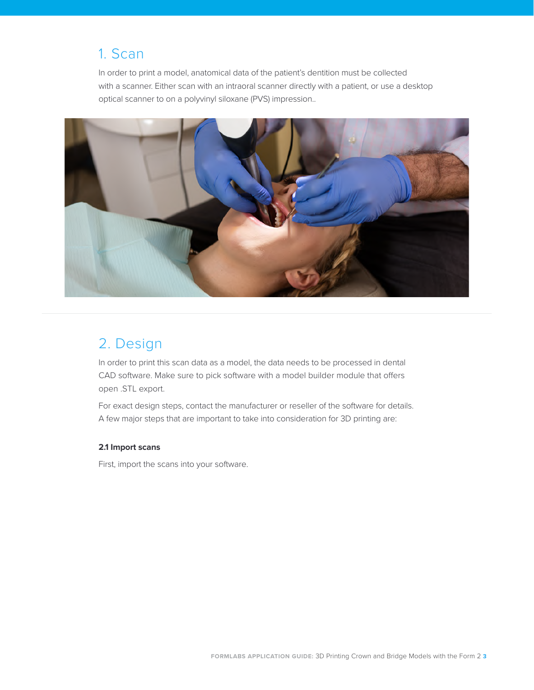# <span id="page-2-0"></span>1. Scan

In order to print a model, anatomical data of the patient's dentition must be collected with a scanner. Either scan with an intraoral scanner directly with a patient, or use a desktop optical scanner to on a polyvinyl siloxane (PVS) impression..



# 2. Design

In order to print this scan data as a model, the data needs to be processed in dental CAD software. Make sure to pick software with a model builder module that offers open .STL export.

For exact design steps, contact the manufacturer or reseller of the software for details. A few major steps that are important to take into consideration for 3D printing are:

#### **2.1 Import scans**

First, import the scans into your software.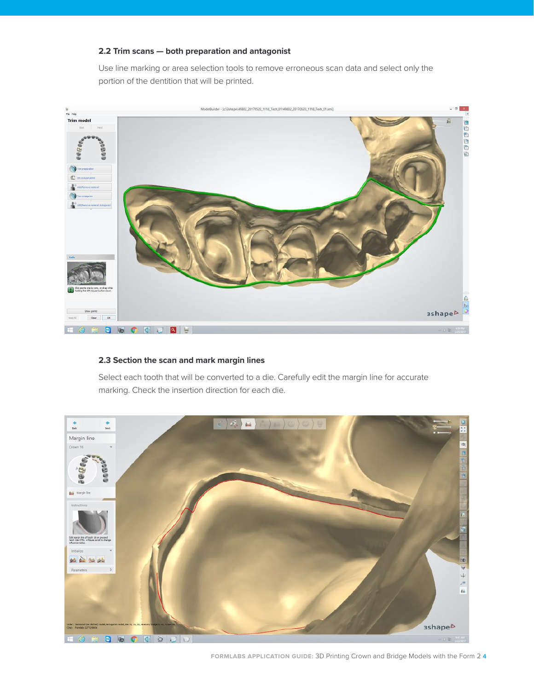#### **2.2 Trim scans — both preparation and antagonist**

Use line marking or area selection tools to remove erroneous scan data and select only the portion of the dentition that will be printed.



#### **2.3 Section the scan and mark margin lines**

Select each tooth that will be converted to a die. Carefully edit the margin line for accurate marking. Check the insertion direction for each die.



**FORMLABS APPLICATION GUIDE:** 3D Printing Crown and Bridge Models with the Form 2 **4**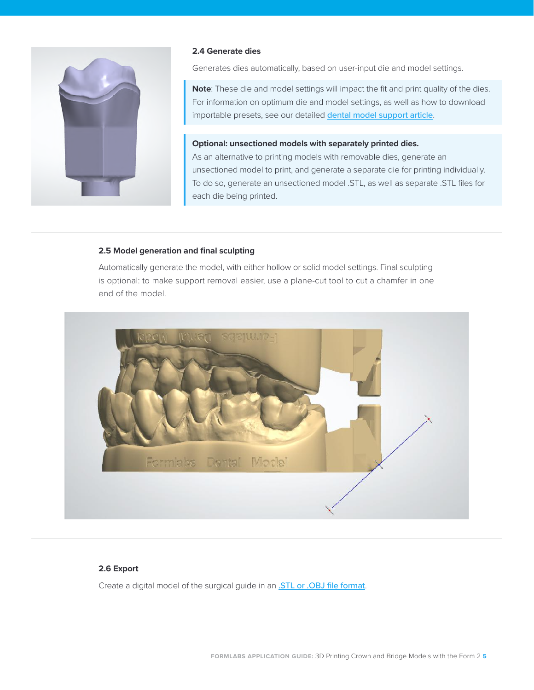

#### **2.4 Generate dies**

Generates dies automatically, based on user-input die and model settings.

**Note**: These die and model settings will impact the fit and print quality of the dies. For information on optimum die and model settings, as well as how to download importable presets, see our detailed **[dental model support article](https://support.formlabs.com/hc/articles/115000673010
)**.

#### **Optional: unsectioned models with separately printed dies.**

As an alternative to printing models with removable dies, generate an unsectioned model to print, and generate a separate die for printing individually. To do so, generate an unsectioned model .STL, as well as separate .STL files for each die being printed.

#### **2.5 Model generation and final sculpting**

Automatically generate the model, with either hollow or solid model settings. Final sculpting is optional: to make support removal easier, use a plane-cut tool to cut a chamfer in one end of the model.



#### **2.6 Export**

Create a digital model of the surgical guide in an **STL or .OBJ file format**.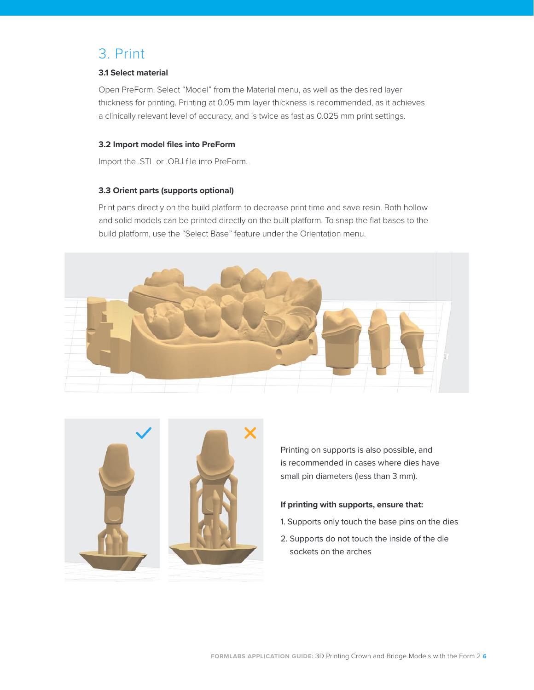# <span id="page-5-0"></span>3. Print

#### **3.1 Select material**

Open PreForm. Select "Model" from the Material menu, as well as the desired layer thickness for printing. Printing at 0.05 mm layer thickness is recommended, as it achieves a clinically relevant level of accuracy, and is twice as fast as 0.025 mm print settings.

#### **3.2 Import model files into PreForm**

Import the .STL or .OBJ file into PreForm.

#### **3.3 Orient parts (supports optional)**

Print parts directly on the build platform to decrease print time and save resin. Both hollow and solid models can be printed directly on the built platform. To snap the flat bases to the build platform, use the "Select Base" feature under the Orientation menu.





Printing on supports is also possible, and is recommended in cases where dies have small pin diameters (less than 3 mm).

#### **If printing with supports, ensure that:**

- 1. Supports only touch the base pins on the dies
- 2. Supports do not touch the inside of the die sockets on the arches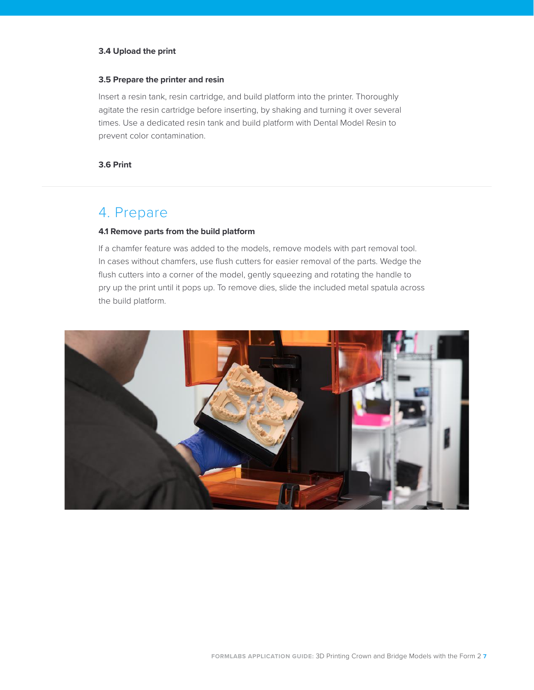#### <span id="page-6-0"></span>**3.4 Upload the print**

#### **3.5 Prepare the printer and resin**

Insert a resin tank, resin cartridge, and build platform into the printer. Thoroughly agitate the resin cartridge before inserting, by shaking and turning it over several times. Use a dedicated resin tank and build platform with Dental Model Resin to prevent color contamination.

#### **3.6 Print**

## 4. Prepare

#### **4.1 Remove parts from the build platform**

If a chamfer feature was added to the models, remove models with part removal tool. In cases without chamfers, use flush cutters for easier removal of the parts. Wedge the flush cutters into a corner of the model, gently squeezing and rotating the handle to pry up the print until it pops up. To remove dies, slide the included metal spatula across the build platform.

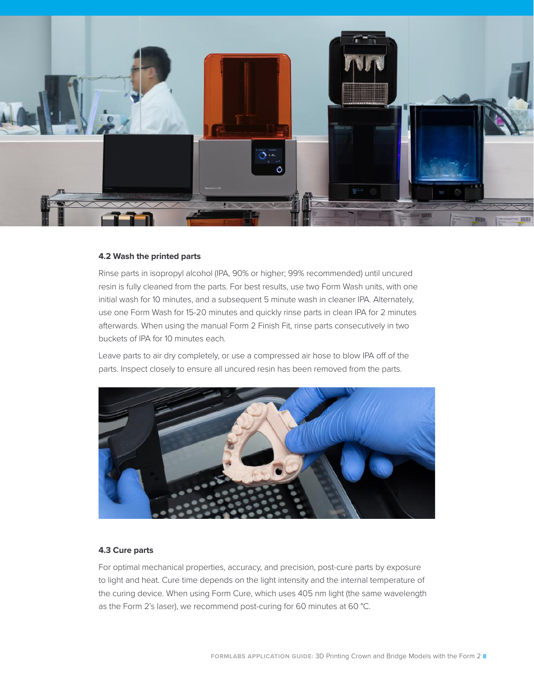

#### **4.2 Wash the printed parts**

Rinse parts in isopropyl alcohol (IPA, 90% or higher; 99% recommended) until uncured resin is fully cleaned from the parts. For best results, use two Form Wash units, with one initial wash for 10 minutes, and a subsequent 5 minute wash in cleaner IPA. Alternately, use one Form Wash for 15-20 minutes and quickly rinse parts in clean IPA for 2 minutes afterwards. When using the manual Form 2 Finish Fit, rinse parts consecutively in two buckets of IPA for 10 minutes each.

Leave parts to air dry completely, or use a compressed air hose to blow IPA off of the parts. Inspect closely to ensure all uncured resin has been removed from the parts.



#### **4.3 Cure parts**

For optimal mechanical properties, accuracy, and precision, post-cure parts by exposure to light and heat. Cure time depends on the light intensity and the internal temperature of the curing device. When using Form Cure, which uses 405 nm light (the same wavelength as the Form 2's laser), we recommend post-curing for 60 minutes at 60 °C.